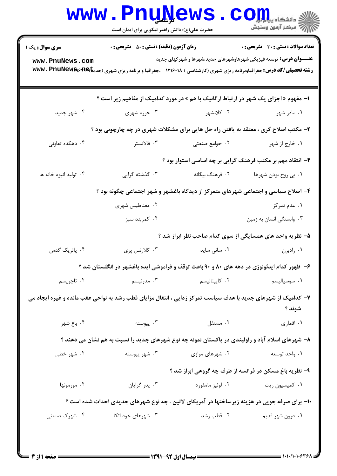|                                                                                                                        | <b>www.PnuNews</b><br>حضرت علی(ع): دانش راهبر نیکویی برای ایمان است                                                   |                                                           | الا دانشڪاء پيا ہوا<br>اڳ مرڪز آزمون وسنڊش                               |  |  |  |
|------------------------------------------------------------------------------------------------------------------------|-----------------------------------------------------------------------------------------------------------------------|-----------------------------------------------------------|--------------------------------------------------------------------------|--|--|--|
| <b>سری سوال :</b> یک ۱                                                                                                 | <b>زمان آزمون (دقیقه) : تستی : 50 ٪ تشریحی : 0</b>                                                                    |                                                           | تعداد سوالات : تستى : 30 قشريحى : 0                                      |  |  |  |
| www.PnuNews.com                                                                                                        | <b>رشته تحصیلی/کد درس:</b> جغرافیاوبرنامه ریزی شهری (کارشناسی ) ۱۲۱۶۰۱۸ - ،جغرافیا و برنامه ریزی شهری (جدیتا)۷۴۹۴ Www |                                                           | <b>عنـــوان درس:</b> توسعه فیزیکی شهرهاوشهرهای جدید،شهرها و شهرکهای جدید |  |  |  |
| <b>ا- مفهوم « اجزای یک شهر در ارتباط ارگانیک با هم » در مورد کدامیک از مفاهیم زیر است ؟</b>                            |                                                                                                                       |                                                           |                                                                          |  |  |  |
| ۰۴ شهر جدید                                                                                                            | ۰۳ حوزه شهری                                                                                                          | ۰۲ کلانشهر                                                | ۰۱ مادر شهر                                                              |  |  |  |
| ۲- مکتب اصلاح گری ، معتقد به یافتن راه حل هایی برای مشکلات شهری در چه چارچوبی بود ؟                                    |                                                                                                                       |                                                           |                                                                          |  |  |  |
| ۰۴ دهکده تعاونی                                                                                                        | ۰۳ فالانستر                                                                                                           | ۰۲ جوامع صنعتی                                            | ۰۱ خارج از شهر                                                           |  |  |  |
| ۳- انتقاد مهم بر مکتب فرهنگ گرایی بر چه اساسی استوار بود ؟                                                             |                                                                                                                       |                                                           |                                                                          |  |  |  |
| ۰۴ توليد انبوه خانه ها                                                                                                 | ۰۳ گذشته گرایی                                                                                                        | ۰۲ فرهنگ بیگانه                                           | ۰۱ بي روح بودن شهرها                                                     |  |  |  |
| ۴- اصلاح سیاسی و اجتماعی شهرهای متمرکز از دیدگاه باغشهر و شهر اجتماعی چگونه بود ؟                                      |                                                                                                                       |                                                           |                                                                          |  |  |  |
|                                                                                                                        | ۰۲ مغناطیس شهری                                                                                                       |                                                           | ۰۱ عدم تمرکز                                                             |  |  |  |
|                                                                                                                        | ۰۴ کمربند سبز                                                                                                         |                                                           | ۰۳ وابستگی انسان به زمین                                                 |  |  |  |
|                                                                                                                        |                                                                                                                       | ۵– نظریه واحد های همسایگی از سوی کدام صاحب نظر ابراز شد ؟ |                                                                          |  |  |  |
| ۰۴ پاتریک گدس                                                                                                          | ۰۳ کلارنس پرې                                                                                                         | ۰۲ سانی ساید                                              | ۰۱ رادبرن                                                                |  |  |  |
|                                                                                                                        | ۶- ظهور کدام ایدئولوژی در دهه های ۸۰ و ۹۰ باعث توقف و فراموشی ایده باغشهر در انگلستان شد ؟                            |                                                           |                                                                          |  |  |  |
| ۰۴ تاچریسم                                                                                                             | ۰۳ مدرنیسم                                                                                                            | ۰۲ کاپیتالیسم                                             | ۰۱ سوسیالیسم                                                             |  |  |  |
| ۷- کدامیک از شهرهای جدید با هدف سیاست تمرکز زدایی ، انتقال مزایای قطب رشد به نواحی عقب مانده و غیره ایجاد می<br>شوند ؟ |                                                                                                                       |                                                           |                                                                          |  |  |  |
| ۰۴ باغ شهر                                                                                                             | ۰۳ پیوسته                                                                                                             | ۰۲ مستقل                                                  | ۰۱ اقماری                                                                |  |  |  |
|                                                                                                                        | ۸– شهرهای اسلام آباد و راولپندی در پاکستان نمونه چه نوع شهرهای جدید را نسبت به هم نشان می دهند ؟                      |                                                           |                                                                          |  |  |  |
| ۰۴ شهر خطی                                                                                                             | ۰۳ شهر پیوسته                                                                                                         | ۰۲ شهرهای موازی                                           | ۰۱ واحد توسعه                                                            |  |  |  |
|                                                                                                                        |                                                                                                                       | ۹- نظریه باغ مسکن در فرانسه از طرف چه گروهی ابراز شد ؟    |                                                                          |  |  |  |
| ۰۴ مورمونها                                                                                                            | ۰۳ پدر گرایان                                                                                                         | ۰۲ لوئيز مامفورد                                          | ۰۱ کمیسیون ریت                                                           |  |  |  |
|                                                                                                                        | ۱۰- برای صرفه جویی در هزینه زیرساختها در آمریکای لاتین ، چه نوع شهرهای جدیدی احداث شده است ؟                          |                                                           |                                                                          |  |  |  |
| ۰۴ شهرک صنعتی                                                                                                          | ۰۳ شهرهای خود اتکا                                                                                                    | ۰۲ قطب رشد                                                | ۰۱ درون شهر قدیم                                                         |  |  |  |
|                                                                                                                        |                                                                                                                       |                                                           |                                                                          |  |  |  |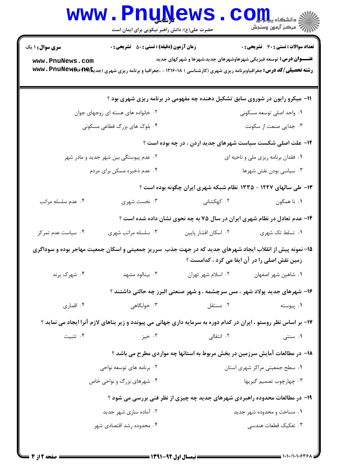|                                                                                                                                                          | www.PnuNews<br>حضرت علی(ع): دانش راهبر نیکویی برای ایمان است |                                     | الله دانشکاه پیا با بال<br>الله عرض آزمون وسنجش                                                                                                                                                                       |  |  |
|----------------------------------------------------------------------------------------------------------------------------------------------------------|--------------------------------------------------------------|-------------------------------------|-----------------------------------------------------------------------------------------------------------------------------------------------------------------------------------------------------------------------|--|--|
| <b>سری سوال : ۱ یک</b>                                                                                                                                   | <b>زمان آزمون (دقیقه) : تستی : 50 ٪ تشریحی : 0</b>           |                                     | <b>تعداد سوالات : تستی : 30 ٪ تشریحی : 0</b>                                                                                                                                                                          |  |  |
| www.PnuNews.com                                                                                                                                          |                                                              |                                     | <b>عنـــوان درس:</b> توسعه فیزیکی شهرهاوشهرهای جدید،شهرها و شهرکهای جدید<br><b>رشته تحصیلی/کد درس:</b> جغرافیاوبرنامه ریزی شهری (کارشناسی ) ۱۲۱۶۰۱۸ - ،جغرافیا و برنامه ریزی شهری (جدی <b>تا)۱۹۹۴ Www . PnuNews س</b> |  |  |
| 11- میکرو رایون در شوروی سابق تشکیل دهنده چه مفهومی در برنامه ریزی شهری بود ؟                                                                            |                                                              |                                     |                                                                                                                                                                                                                       |  |  |
|                                                                                                                                                          | ۰۲ خانواده های هسته ای زوجهای جوان                           |                                     | ۰۱ واحد اصلی توسعه مسکونی                                                                                                                                                                                             |  |  |
| ۰۴ بلوک های بزرگ قطاعی مسکونی                                                                                                                            |                                                              | ۰۳ جدایی صنعت از سکونت              |                                                                                                                                                                                                                       |  |  |
| ۱۲- علت اصلی شکست سیاست شهرهای جدید اردن ، در چه بوده است ؟                                                                                              |                                                              |                                     |                                                                                                                                                                                                                       |  |  |
| ۰۲ عدم پیوستگی بین شهر جدید و مادر شهر                                                                                                                   |                                                              | ۰۱ فقدان برنامه ریزی ملی و ناحیه ای |                                                                                                                                                                                                                       |  |  |
| ۰۴ عدم ذخیره مسکن برای مردم                                                                                                                              |                                                              | ۰۳ سیاسی بودن نقش شهرها             |                                                                                                                                                                                                                       |  |  |
|                                                                                                                                                          |                                                              |                                     | ۱۳- طی سالهای ۱۲۴۷ - ۱۳۳۵ نظام شبکه شهری ایران چگونه بوده است ؟                                                                                                                                                       |  |  |
| ۰۴ عدم سلسله مراتب                                                                                                                                       | ۰۳ نخست شهری                                                 | ۰۲ کهکشانی                          | ٠١. نا همگون                                                                                                                                                                                                          |  |  |
|                                                                                                                                                          |                                                              |                                     | ۱۴- عدم تعادل در نظام شهری ایران در سال ۷۵ به چه نحوی نشان داده شده است ؟                                                                                                                                             |  |  |
| ۰۴ سیاست عدم تمرکز                                                                                                                                       | ۰۳ سلسله مراتب شهری                                          | ٠٢ اسكان اقشار پايين                | ۰۱ تسلط تک شهری                                                                                                                                                                                                       |  |  |
| ۱۵– نمونه پیش از انقلاب ایجاد شهرهای جدید که در جهت جذب سرریز جمعیتی و اسکان جمعیت مهاجر بوده و سوداگری<br>زمین نقش اصلی را در آن ایفا می کرد ، کدامست ؟ |                                                              |                                     |                                                                                                                                                                                                                       |  |  |
| ۰۴ شهرک پرند                                                                                                                                             | ۰۳ بینالود مشهد                                              | ۰۲ اسلام شهر تهران                  | ٠١ شاهين شهر اصفهان                                                                                                                                                                                                   |  |  |
|                                                                                                                                                          |                                                              |                                     | ۱۶- شهرهای جدید پولاد شهر ، مس سرچشمه ، و شهر صنعتی البرز چه حالتی داشتند ؟                                                                                                                                           |  |  |
| ۰۴ اقماري                                                                                                                                                | ۰۳ خوابگاهی                                                  | ۰۲ مستقل                            | ۰۱ پیوسته                                                                                                                                                                                                             |  |  |
| ۱۷- بر اساس نظر روستو ، ایران در کدام دوره به سرمایه داری جهانی می پیوندد و زیر بناهای لازم آنرا ایجاد می نماید ؟                                        |                                                              |                                     |                                                                                                                                                                                                                       |  |  |
| ۰۴ تثبیت                                                                                                                                                 | ۰۳ خیز                                                       | ۰۲ انتقالی                          | ۰۱ سنتی                                                                                                                                                                                                               |  |  |
|                                                                                                                                                          |                                                              |                                     | ۱۸- در مطالعات آمایش سرزمین در بخش مربوط به استانها چه مواردی مطرح می باشد ؟                                                                                                                                          |  |  |
| ۰۲ برنامه های توسعه نواحی                                                                                                                                |                                                              | ۰۱ سطح جمعیتی مراکز شهری استان      |                                                                                                                                                                                                                       |  |  |
|                                                                                                                                                          | ۰۴ شهرهای بزرگ و نواحی خاص                                   |                                     | ۰۳ چهارچوب تصمیم گیریها                                                                                                                                                                                               |  |  |
| ۱۹- در مطالعات محدوده راهبردی شهرهای جدید چه چیزی از نظر فنی بررسی می شود ؟                                                                              |                                                              |                                     |                                                                                                                                                                                                                       |  |  |
|                                                                                                                                                          | ۰۲ آماده سازی شهر جدید                                       |                                     | ۰۱ مساحت و محدوده شهر جدید                                                                                                                                                                                            |  |  |
|                                                                                                                                                          | ۰۴ محدوده رشد اقتصادی شهر                                    |                                     | ۰۳ تفکیک قطعات هندسی                                                                                                                                                                                                  |  |  |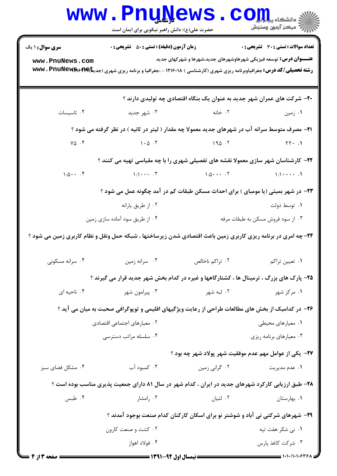|                                                                                                               | www.PnuNews<br>حضرت علی(ع): دانش راهبر نیکویی برای ایمان است                                                          |                                                                          | $\mathbf{C}\mathbf{O}\mathbf{m}$<br><b>الله عن الله عن الله عن</b> الله عن الله عن الله عن الله عن الله عن الله عن الله عن الله عن الله عن ال<br>الله عن الله عن الله عن الله عن الله عن الله عن الله عن الله عن الله عن الله عن الله عن الله عن الله عن الله ع<br>الله عن ا |  |  |
|---------------------------------------------------------------------------------------------------------------|-----------------------------------------------------------------------------------------------------------------------|--------------------------------------------------------------------------|------------------------------------------------------------------------------------------------------------------------------------------------------------------------------------------------------------------------------------------------------------------------------|--|--|
| <b>سری سوال : ۱ یک</b>                                                                                        | <b>زمان آزمون (دقیقه) : تستی : 50 ٪ تشریحی : 0</b>                                                                    |                                                                          | تعداد سوالات : تستى : 30 ٪ تشريحي : 0                                                                                                                                                                                                                                        |  |  |
| www.PnuNews.com                                                                                               | <b>رشته تحصیلی/کد درس:</b> جغرافیاوبرنامه ریزی شهری (کارشناسی ) ۱۲۱۶۰۱۸ - ،جغرافیا و برنامه ریزی شهری (جدیتا)۷۴۹۴ Www | <b>عنـــوان درس:</b> توسعه فیزیکی شهرهاوشهرهای جدید،شهرها و شهرکهای جدید |                                                                                                                                                                                                                                                                              |  |  |
| ۲۰− شرکت های عمران شهر جدید به عنوان یک بنگاه اقتصادی چه تولیدی دارند ؟                                       |                                                                                                                       |                                                                          |                                                                                                                                                                                                                                                                              |  |  |
| ۰۴ تاسیسات                                                                                                    | ۰۳ شهر جديد                                                                                                           | ۰۱ زمین مسلمان است. ۲۰ خانه                                              |                                                                                                                                                                                                                                                                              |  |  |
| ۲۱- مصرف متوسط سرانه آب در شهرهای جدید معمولا چه مقدار ( لیتر در ثانیه ) در نظر گرفته می شود ؟                |                                                                                                                       |                                                                          |                                                                                                                                                                                                                                                                              |  |  |
|                                                                                                               | $Y\Delta$ $Y$                                                                                                         | 190.7                                                                    | $\gamma \gamma \cdot .1$                                                                                                                                                                                                                                                     |  |  |
| ۲۲- کارشناسان شهر سازی معمولا نقشه های تفصیلی شهری را با چه مقیاسی تهیه می کنند ؟                             |                                                                                                                       |                                                                          |                                                                                                                                                                                                                                                                              |  |  |
|                                                                                                               | $1:0$ $9:1$ $1:1$ $1:1$ $1:0$ $1:0$ $1:1$ $1:1$ $1:1$                                                                 |                                                                          |                                                                                                                                                                                                                                                                              |  |  |
| ۲۳- در شهر بمبئی (یا مومبای ) برای احداث مسکن طبقات کم در آمد چگونه عمل می شود ؟                              |                                                                                                                       |                                                                          |                                                                                                                                                                                                                                                                              |  |  |
|                                                                                                               | ۰۲ از طریق یارانه                                                                                                     |                                                                          | ۰۱ توسط دولت                                                                                                                                                                                                                                                                 |  |  |
|                                                                                                               | ۰۴ از طریق سود آماده سازی زمین<br>۰۳ از سود فروش مسکن به طبقات مرفه                                                   |                                                                          |                                                                                                                                                                                                                                                                              |  |  |
| ۲۴- چه امری در برنامه ریزی کاربری زمین باعث اقتصادی شدن زیرساختها ، شبکه حمل ونقل و نظام کاربری زمین می شود ؟ |                                                                                                                       |                                                                          |                                                                                                                                                                                                                                                                              |  |  |
| ۰۴ سرانه مسکونی                                                                                               | ۰۳ سرانه زمین                                                                                                         | ۰۲ تراکم ناخالص                                                          | ۰۱ تعیین تراکم                                                                                                                                                                                                                                                               |  |  |
|                                                                                                               | ۲۵- پارک های بزرگ ، ترمینال ها ، کشتارگاهها و غیره در کدام بخش شهر جدید قرار می گیرند ؟                               |                                                                          |                                                                                                                                                                                                                                                                              |  |  |
| ۰۴ ناحیه ای                                                                                                   | ۰۳ پیرامون شهر                                                                                                        | ۰۲ لبه شهر                                                               | ۰۱ مرکز شهر                                                                                                                                                                                                                                                                  |  |  |
|                                                                                                               | ۲۶- در کدامیک از بخش های مطالعات طراحی از رعایت ویژگیهای اقلیمی و توپوگرافی صحبت به میان می آید ؟                     |                                                                          |                                                                                                                                                                                                                                                                              |  |  |
|                                                                                                               | ۰۲ معیارهای اجتماعی اقتصادی                                                                                           |                                                                          | ٠١ معيارهاي محيطى                                                                                                                                                                                                                                                            |  |  |
|                                                                                                               | ۰۴ سلسله مراتب دسترسی                                                                                                 |                                                                          | ۰۳ معیارهای برنامه ریزی                                                                                                                                                                                                                                                      |  |  |
|                                                                                                               |                                                                                                                       | <b>۲۷</b> – یکی از عوامل مهم عدم موفقیت شهر پولاد شهر چه بود ؟           |                                                                                                                                                                                                                                                                              |  |  |
| ۰۴ مشکل فضای سبز                                                                                              | ۰۳ کمبود آب                                                                                                           | ۰۲ گرانی زمین                                                            | ۰۱ عدم مديريت                                                                                                                                                                                                                                                                |  |  |
| ۲۸- طبق ارزیابی کارکرد شهرهای جدید در ایران ، کدام شهر در سال ۸۱ دارای جمعیت پذیری مناسب بوده است ؟           |                                                                                                                       |                                                                          |                                                                                                                                                                                                                                                                              |  |  |
| ۰۴ طبس                                                                                                        | ۰۳ رامشار                                                                                                             | ۰۲ لتيان                                                                 | ۰۱ بهارستان                                                                                                                                                                                                                                                                  |  |  |
| ۲۹- شهرهای شرکتی نی آباد و شوشتر نو برای اسکان کارکنان کدام صنعت بوجود آمدند ؟                                |                                                                                                                       |                                                                          |                                                                                                                                                                                                                                                                              |  |  |
|                                                                                                               | ۰۲ کشت و صنعت کارون                                                                                                   |                                                                          | ۰۱ نی شکر هفت تپه                                                                                                                                                                                                                                                            |  |  |
|                                                                                                               | ۰۴ فولاد اهواز                                                                                                        |                                                                          | ۰۳ شرکت کاغذ پارس                                                                                                                                                                                                                                                            |  |  |
| <b>: صفحه 3 از 4 =</b>                                                                                        |                                                                                                                       |                                                                          |                                                                                                                                                                                                                                                                              |  |  |